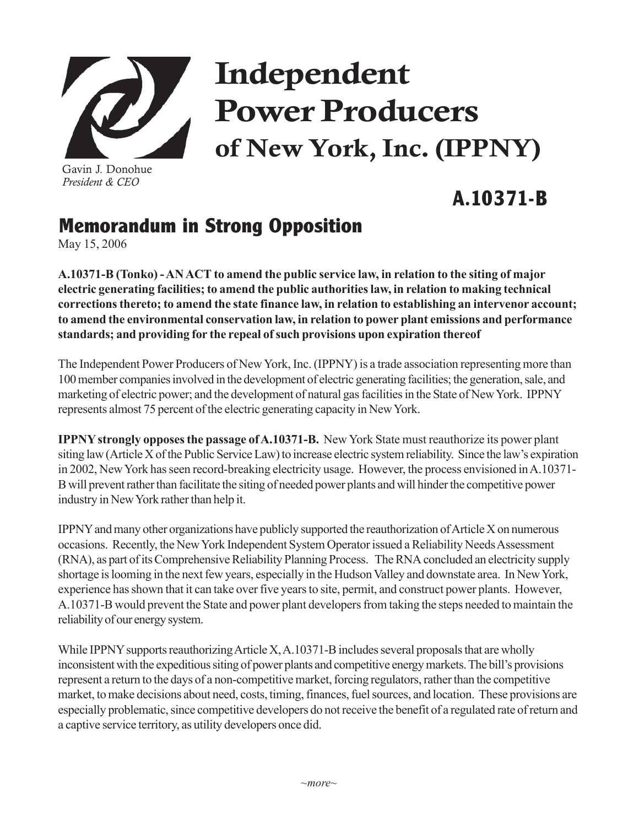

Gavin J. Donohue *President & CEO*

## Independent Power Producers of New York, Inc. (IPPNY)

## **A.10371-B**

## **Memorandum in Strong Opposition**

May 15, 2006

**A.10371-B (Tonko) - AN ACT to amend the public service law, in relation to the siting of major electric generating facilities; to amend the public authorities law, in relation to making technical corrections thereto; to amend the state finance law, in relation to establishing an intervenor account; to amend the environmental conservation law, in relation to power plant emissions and performance standards; and providing for the repeal of such provisions upon expiration thereof**

The Independent Power Producers of New York, Inc. (IPPNY) is a trade association representing more than 100 member companies involved in the development of electric generating facilities; the generation, sale, and marketing of electric power; and the development of natural gas facilities in the State of New York. IPPNY represents almost 75 percent of the electric generating capacity in New York.

**IPPNY strongly opposes the passage of A.10371-B.** New York State must reauthorize its power plant siting law (Article X of the Public Service Law) to increase electric system reliability. Since the law's expiration in 2002, New York has seen record-breaking electricity usage. However, the process envisioned in A.10371- B will prevent rather than facilitate the siting of needed power plants and will hinder the competitive power industry in New York rather than help it.

IPPNY and many other organizations have publicly supported the reauthorization of Article X on numerous occasions. Recently, the New York Independent System Operator issued a Reliability Needs Assessment (RNA), as part of its Comprehensive Reliability Planning Process. The RNA concluded an electricity supply shortage is looming in the next few years, especially in the Hudson Valley and downstate area. In New York, experience has shown that it can take over five years to site, permit, and construct power plants. However, A.10371-B would prevent the State and power plant developers from taking the steps needed to maintain the reliability of our energy system.

While IPPNY supports reauthorizing Article X, A.10371-B includes several proposals that are wholly inconsistent with the expeditious siting of power plants and competitive energy markets. The bill's provisions represent a return to the days of a non-competitive market, forcing regulators, rather than the competitive market, to make decisions about need, costs, timing, finances, fuel sources, and location. These provisions are especially problematic, since competitive developers do not receive the benefit of a regulated rate of return and a captive service territory, as utility developers once did.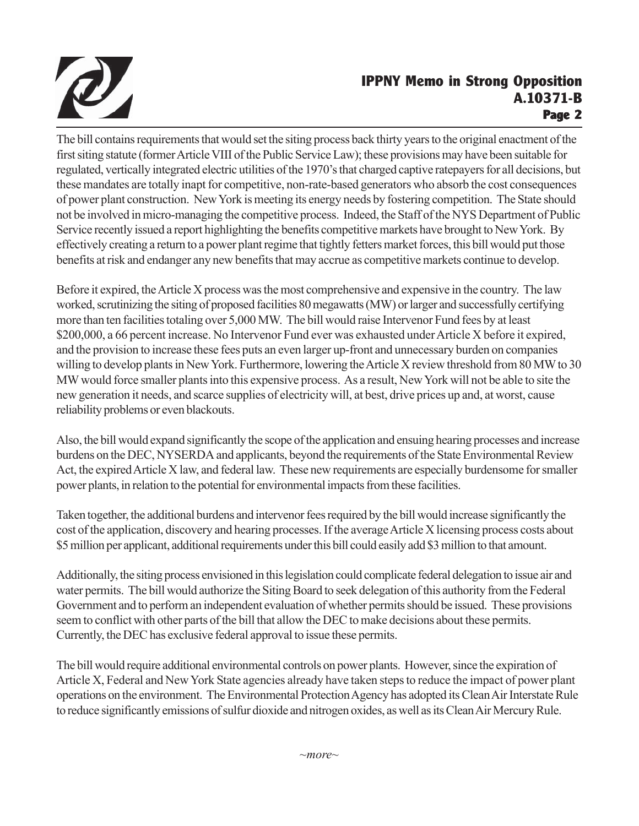

## **IPPNY Memo in Strong Opposition A.10371-B Page 2**

The bill contains requirements that would set the siting process back thirty years to the original enactment of the first siting statute (former Article VIII of the Public Service Law); these provisions may have been suitable for regulated, vertically integrated electric utilities of the 1970's that charged captive ratepayers for all decisions, but these mandates are totally inapt for competitive, non-rate-based generators who absorb the cost consequences of power plant construction. New York is meeting its energy needs by fostering competition. The State should not be involved in micro-managing the competitive process. Indeed, the Staff of the NYS Department of Public Service recently issued a report highlighting the benefits competitive markets have brought to New York. By effectively creating a return to a power plant regime that tightly fetters market forces, this bill would put those benefits at risk and endanger any new benefits that may accrue as competitive markets continue to develop.

Before it expired, the Article X process was the most comprehensive and expensive in the country. The law worked, scrutinizing the siting of proposed facilities 80 megawatts (MW) or larger and successfully certifying more than ten facilities totaling over 5,000 MW. The bill would raise Intervenor Fund fees by at least \$200,000, a 66 percent increase. No Intervenor Fund ever was exhausted under Article X before it expired, and the provision to increase these fees puts an even larger up-front and unnecessary burden on companies willing to develop plants in New York. Furthermore, lowering the Article X review threshold from 80 MW to 30 MW would force smaller plants into this expensive process. As a result, New York will not be able to site the new generation it needs, and scarce supplies of electricity will, at best, drive prices up and, at worst, cause reliability problems or even blackouts.

Also, the bill would expand significantly the scope of the application and ensuing hearing processes and increase burdens on the DEC, NYSERDA and applicants, beyond the requirements of the State Environmental Review Act, the expired Article X law, and federal law. These new requirements are especially burdensome for smaller power plants, in relation to the potential for environmental impacts from these facilities.

Taken together, the additional burdens and intervenor fees required by the bill would increase significantly the cost of the application, discovery and hearing processes. If the average Article X licensing process costs about \$5 million per applicant, additional requirements under this bill could easily add \$3 million to that amount.

Additionally, the siting process envisioned in this legislation could complicate federal delegation to issue air and water permits. The bill would authorize the Siting Board to seek delegation of this authority from the Federal Government and to perform an independent evaluation of whether permits should be issued. These provisions seem to conflict with other parts of the bill that allow the DEC to make decisions about these permits. Currently, the DEC has exclusive federal approval to issue these permits.

The bill would require additional environmental controls on power plants. However, since the expiration of Article X, Federal and New York State agencies already have taken steps to reduce the impact of power plant operations on the environment. The Environmental Protection Agency has adopted its Clean Air Interstate Rule to reduce significantly emissions of sulfur dioxide and nitrogen oxides, as well as its Clean Air Mercury Rule.